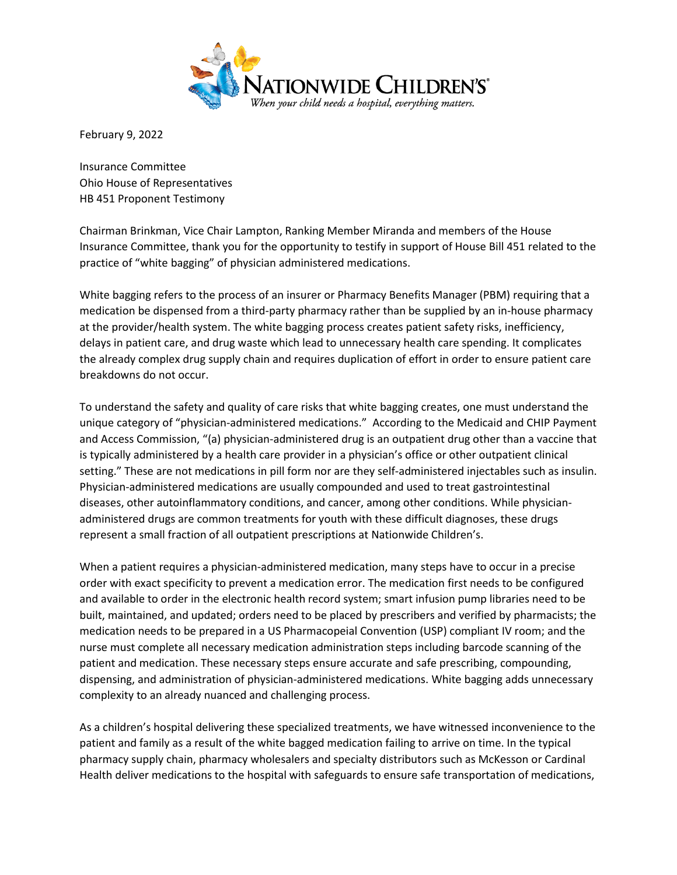

February 9, 2022

Insurance Committee Ohio House of Representatives HB 451 Proponent Testimony

Chairman Brinkman, Vice Chair Lampton, Ranking Member Miranda and members of the House Insurance Committee, thank you for the opportunity to testify in support of House Bill 451 related to the practice of "white bagging" of physician administered medications.

White bagging refers to the process of an insurer or Pharmacy Benefits Manager (PBM) requiring that a medication be dispensed from a third-party pharmacy rather than be supplied by an in-house pharmacy at the provider/health system. The white bagging process creates patient safety risks, inefficiency, delays in patient care, and drug waste which lead to unnecessary health care spending. It complicates the already complex drug supply chain and requires duplication of effort in order to ensure patient care breakdowns do not occur.

To understand the safety and quality of care risks that white bagging creates, one must understand the unique category of "physician-administered medications." According to the Medicaid and CHIP Payment and Access Commission, "(a) physician-administered drug is an outpatient drug other than a vaccine that is typically administered by a health care provider in a physician's office or other outpatient clinical setting." These are not medications in pill form nor are they self-administered injectables such as insulin. Physician-administered medications are usually compounded and used to treat gastrointestinal diseases, other autoinflammatory conditions, and cancer, among other conditions. While physicianadministered drugs are common treatments for youth with these difficult diagnoses, these drugs represent a small fraction of all outpatient prescriptions at Nationwide Children's.

When a patient requires a physician-administered medication, many steps have to occur in a precise order with exact specificity to prevent a medication error. The medication first needs to be configured and available to order in the electronic health record system; smart infusion pump libraries need to be built, maintained, and updated; orders need to be placed by prescribers and verified by pharmacists; the medication needs to be prepared in a US Pharmacopeial Convention (USP) compliant IV room; and the nurse must complete all necessary medication administration steps including barcode scanning of the patient and medication. These necessary steps ensure accurate and safe prescribing, compounding, dispensing, and administration of physician-administered medications. White bagging adds unnecessary complexity to an already nuanced and challenging process.

As a children's hospital delivering these specialized treatments, we have witnessed inconvenience to the patient and family as a result of the white bagged medication failing to arrive on time. In the typical pharmacy supply chain, pharmacy wholesalers and specialty distributors such as McKesson or Cardinal Health deliver medications to the hospital with safeguards to ensure safe transportation of medications,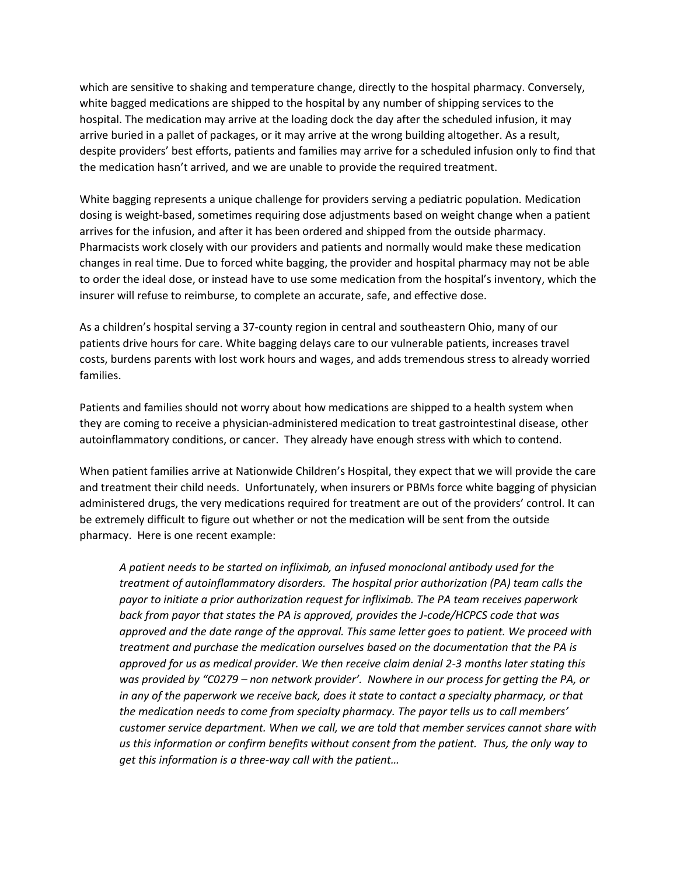which are sensitive to shaking and temperature change, directly to the hospital pharmacy. Conversely, white bagged medications are shipped to the hospital by any number of shipping services to the hospital. The medication may arrive at the loading dock the day after the scheduled infusion, it may arrive buried in a pallet of packages, or it may arrive at the wrong building altogether. As a result, despite providers' best efforts, patients and families may arrive for a scheduled infusion only to find that the medication hasn't arrived, and we are unable to provide the required treatment.

White bagging represents a unique challenge for providers serving a pediatric population. Medication dosing is weight-based, sometimes requiring dose adjustments based on weight change when a patient arrives for the infusion, and after it has been ordered and shipped from the outside pharmacy. Pharmacists work closely with our providers and patients and normally would make these medication changes in real time. Due to forced white bagging, the provider and hospital pharmacy may not be able to order the ideal dose, or instead have to use some medication from the hospital's inventory, which the insurer will refuse to reimburse, to complete an accurate, safe, and effective dose.

As a children's hospital serving a 37-county region in central and southeastern Ohio, many of our patients drive hours for care. White bagging delays care to our vulnerable patients, increases travel costs, burdens parents with lost work hours and wages, and adds tremendous stress to already worried families.

Patients and families should not worry about how medications are shipped to a health system when they are coming to receive a physician-administered medication to treat gastrointestinal disease, other autoinflammatory conditions, or cancer. They already have enough stress with which to contend.

When patient families arrive at Nationwide Children's Hospital, they expect that we will provide the care and treatment their child needs. Unfortunately, when insurers or PBMs force white bagging of physician administered drugs, the very medications required for treatment are out of the providers' control. It can be extremely difficult to figure out whether or not the medication will be sent from the outside pharmacy. Here is one recent example:

*A patient needs to be started on infliximab, an infused monoclonal antibody used for the treatment of autoinflammatory disorders. The hospital prior authorization (PA) team calls the payor to initiate a prior authorization request for infliximab. The PA team receives paperwork back from payor that states the PA is approved, provides the J-code/HCPCS code that was approved and the date range of the approval. This same letter goes to patient. We proceed with treatment and purchase the medication ourselves based on the documentation that the PA is approved for us as medical provider. We then receive claim denial 2-3 months later stating this was provided by "C0279 – non network provider'. Nowhere in our process for getting the PA, or in any of the paperwork we receive back, does it state to contact a specialty pharmacy, or that the medication needs to come from specialty pharmacy. The payor tells us to call members' customer service department. When we call, we are told that member services cannot share with us this information or confirm benefits without consent from the patient. Thus, the only way to get this information is a three-way call with the patient…*